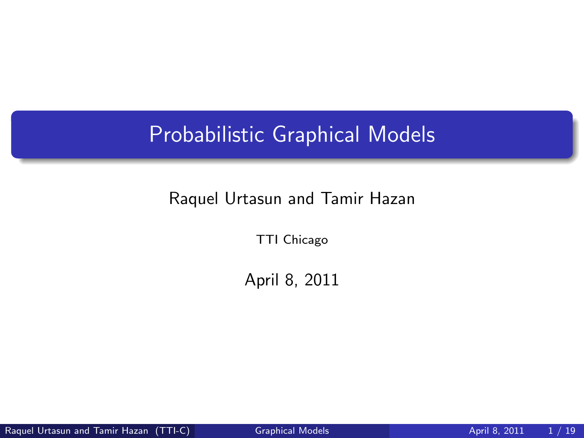# Probabilistic Graphical Models

#### Raquel Urtasun and Tamir Hazan

TTI Chicago

<span id="page-0-0"></span>April 8, 2011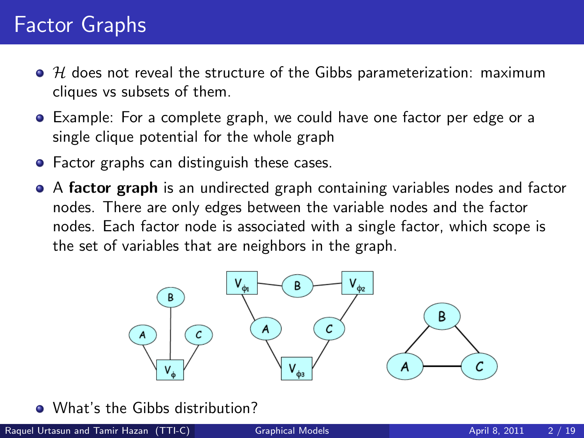# Factor Graphs

- $\bullet$  H does not reveal the structure of the Gibbs parameterization: maximum cliques vs subsets of them.
- Example: For a complete graph, we could have one factor per edge or a single clique potential for the whole graph
- Factor graphs can distinguish these cases.
- A factor graph is an undirected graph containing variables nodes and factor nodes. There are only edges between the variable nodes and the factor nodes. Each factor node is associated with a single factor, which scope is the set of variables that are neighbors in the graph.



• What's the Gibbs distribution?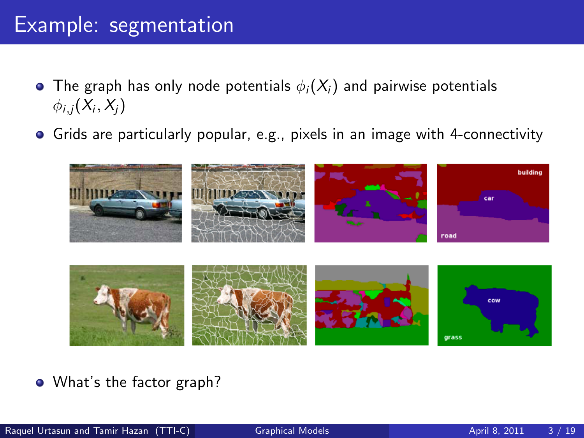#### Example: segmentation

- The graph has only node potentials  $\phi_i(X_i)$  and pairwise potentials  $\phi_{i,j}(X_i,X_j)$
- Grids are particularly popular, e.g., pixels in an image with 4-connectivity



• What's the factor graph?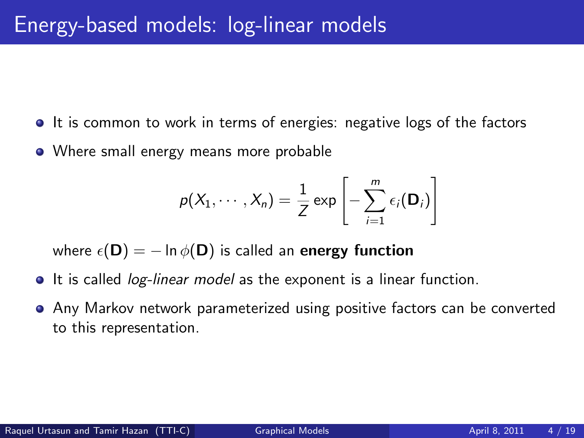- If is common to work in terms of energies: negative logs of the factors
- Where small energy means more probable

$$
p(X_1,\cdots,X_n)=\frac{1}{Z}\exp\left[-\sum_{i=1}^m\epsilon_i(\mathbf{D}_i)\right]
$$

where  $\epsilon(D) = -\ln \phi(D)$  is called an energy function

- **It is called** *log-linear model* as the exponent is a linear function.
- Any Markov network parameterized using positive factors can be converted to this representation.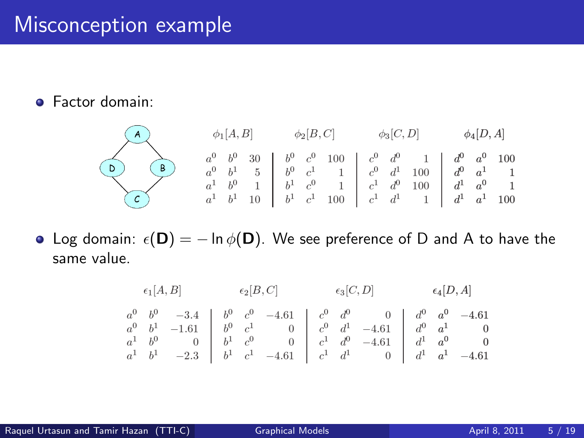**•** Factor domain:



• Log domain:  $\epsilon(\mathbf{D}) = -\ln \phi(\mathbf{D})$ . We see preference of D and A to have the same value.

$$
\begin{array}{ccccccccc}\n\epsilon_1[A,B] & \epsilon_2[B,C] & \epsilon_3[C,D] & \epsilon_4[D,A] \\
a^0 & b^0 & -3.4 & b^0 & c^0 & -4.61 & c^0 & d^0 & 0 & d^0 & a^0 & -4.61 \\
a^0 & b^1 & -1.61 & b^0 & c^1 & 0 & c^0 & d^1 & -4.61 & d^0 & a^1 & 0 \\
a^1 & b^0 & 0 & b^1 & c^0 & 0 & c^1 & d^0 & -4.61 & d^1 & a^0 & 0 \\
a^1 & b^1 & -2.3 & b^1 & c^1 & -4.61 & c^1 & d^1 & 0 & d^1 & a^1 & -4.61\n\end{array}
$$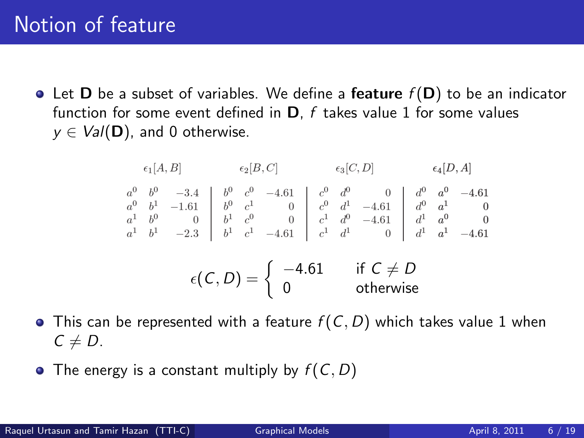# Notion of feature

• Let **D** be a subset of variables. We define a **feature**  $f(D)$  to be an indicator function for some event defined in  $D$ , f takes value 1 for some values  $y \in \text{Val}(\mathbf{D})$ , and 0 otherwise.

$$
\begin{array}{cccc}\n\epsilon_1[A,B] & \epsilon_2[B,C] & \epsilon_3[C,D] & \epsilon_4[D,A] \\
a^0 & b^0 & -3.4 & b^0 & c^0 & -4.61 & c^0 & d^0 & 0 & d^0 & a^0 & -4.61 \\
a^0 & b^1 & -1.61 & b^0 & c^1 & 0 & c^0 & d^1 & -4.61 & d^0 & a^1 & 0 \\
a^1 & b^0 & 0 & b^1 & c^0 & 0 & c^1 & d^0 & -4.61 & d^1 & a^0 & 0 \\
a^1 & b^1 & -2.3 & b^1 & c^1 & -4.61 & c^1 & d^1 & 0 & d^1 & a^1 & -4.61 \\
\epsilon(C,D) = \begin{cases}\n-4.61 & \text{if } C \neq D \\
0 & \text{otherwise}\n\end{cases}\n\end{array}
$$

- This can be represented with a feature  $f(C, D)$  which takes value 1 when  $C \neq D$ .
- The energy is a constant multiply by  $f(C, D)$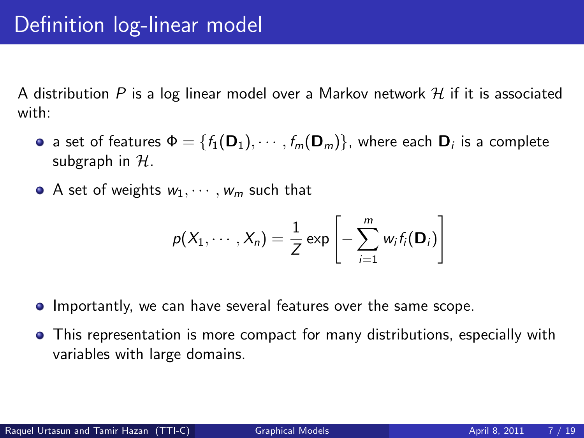A distribution P is a log linear model over a Markov network  $\mathcal H$  if it is associated with:

- a set of features  $\mathsf{\Phi} = \{f_1(\mathsf{D}_1), \cdots, f_m(\mathsf{D}_m)\}$ , where each  $\mathsf{D}_i$  is a complete subgraph in  $H$ .
- A set of weights  $w_1, \dots, w_m$  such that

$$
p(X_1,\cdots,X_n)=\frac{1}{Z}\exp\left[-\sum_{i=1}^m w_i f_i(\mathbf{D}_i)\right]
$$

- **Importantly, we can have several features over the same scope.**
- This representation is more compact for many distributions, especially with variables with large domains.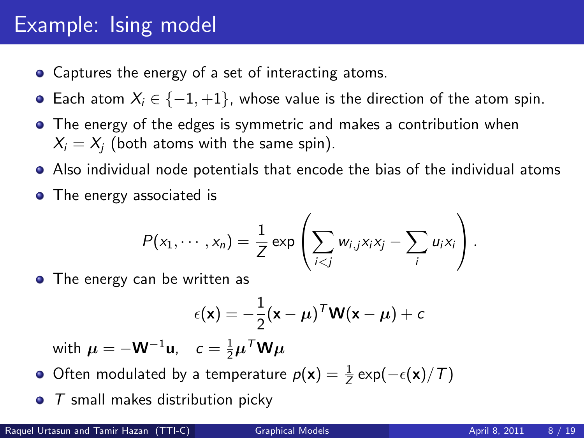# Example: Ising model

- Captures the energy of a set of interacting atoms.
- **•** Each atom  $X_i \in \{-1, +1\}$ , whose value is the direction of the atom spin.
- The energy of the edges is symmetric and makes a contribution when  $X_i = X_i$  (both atoms with the same spin).
- Also individual node potentials that encode the bias of the individual atoms
- The energy associated is

$$
P(x_1,\dots,x_n)=\frac{1}{Z}\exp\left(\sum_{i
$$

• The energy can be written as

$$
\epsilon(\mathbf{x}) = -\frac{1}{2}(\mathbf{x} - \boldsymbol{\mu})^T \mathbf{W}(\mathbf{x} - \boldsymbol{\mu}) + c
$$

with  $\boldsymbol{\mu} = -\mathbf{W}^{-1}\mathbf{u}$ ,  $c = \frac{1}{2}\boldsymbol{\mu}^T\mathbf{W}\boldsymbol{\mu}$ 

- Often modulated by a temperature  $p(\mathbf{x}) = \frac{1}{Z} \exp(-\epsilon(\mathbf{x})/T)$
- $\bullet$  T small makes distribution picky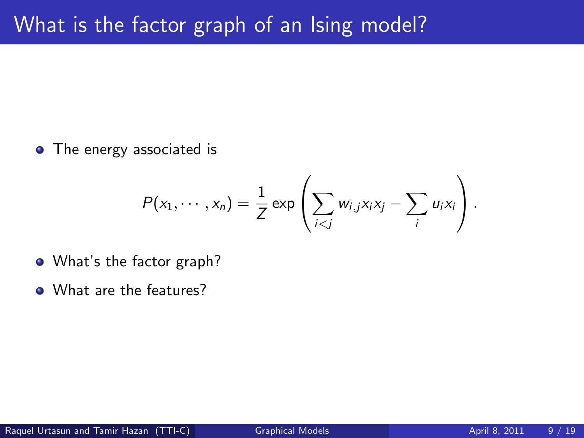• The energy associated is

$$
P(x_1,\dots,x_n)=\frac{1}{Z}\exp\left(\sum_{i
$$

- What's the factor graph?
- What are the features?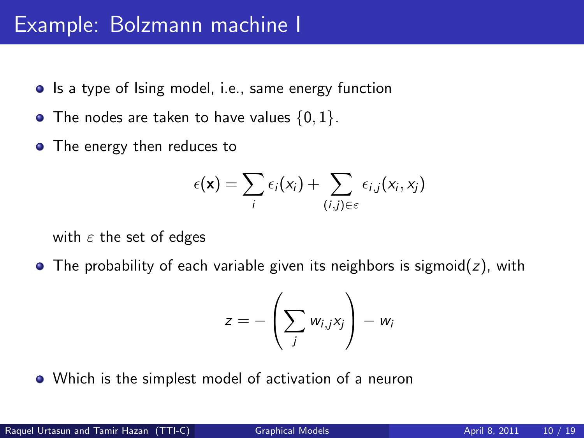#### Example: Bolzmann machine I

- Is a type of Ising model, i.e., same energy function
- $\bullet$  The nodes are taken to have values  $\{0, 1\}$ .
- The energy then reduces to

$$
\epsilon(\mathbf{x}) = \sum_i \epsilon_i(x_i) + \sum_{(i,j) \in \varepsilon} \epsilon_{i,j}(x_i, x_j)
$$

with  $\varepsilon$  the set of edges

 $\bullet$  The probability of each variable given its neighbors is sigmoid( $z$ ), with

$$
z=-\left(\sum_j w_{i,j}x_j\right)-w_i
$$

Which is the simplest model of activation of a neuron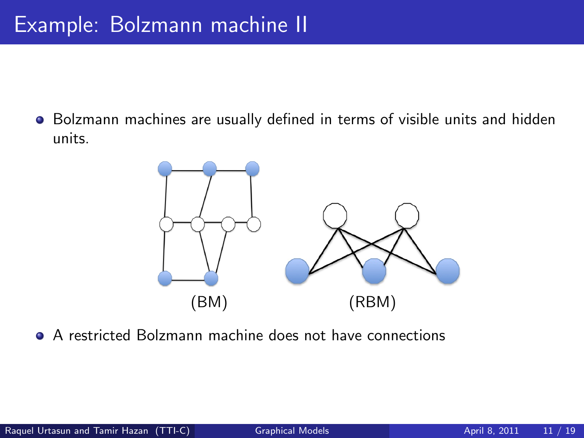Bolzmann machines are usually defined in terms of visible units and hidden units.



A restricted Bolzmann machine does not have connections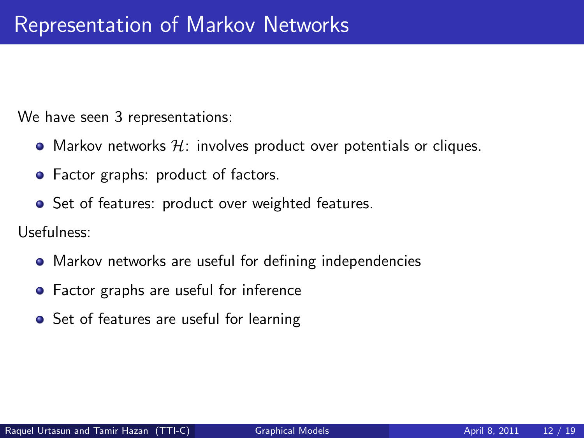We have seen 3 representations:

- Markov networks  $H$ : involves product over potentials or cliques.
- Factor graphs: product of factors.
- **•** Set of features: product over weighted features.

Usefulness:

- Markov networks are useful for defining independencies
- Factor graphs are useful for inference
- Set of features are useful for learning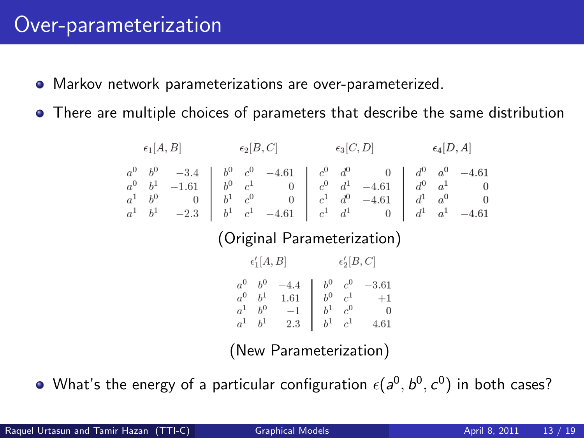#### Over-parameterization

- Markov network parameterizations are over-parameterized.
- There are multiple choices of parameters that describe the same distribution

 $\epsilon_1[A, B]$   $\epsilon_2[B, C]$   $\epsilon_3[C, D]$   $\epsilon_4[D, A]$  $\begin{array}{cccccc} a^0 & b^0 & -3.4 & b^0 & c^0 & -4.61 & c^0 & d^0 & 0 & d^0 & a^0 & -4.61 \\ a^0 & b^1 & -1.61 & b^0 & c^1 & 0 & c^0 & d^1 & -4.61 & d^0 & a^1 & 0 \\ a^1 & b^0 & 0 & b^1 & c^0 & 0 & c^1 & d^0 & -4.61 & d^1 & a^0 & 0 \\ a^1 & b^1 & -2.3 & b^1 & c^1 & -4.61 & c^1 & d^1 & 0 & d^1 & a^1 & -4.61 \end{array}$ (Original Parameterization)  $\epsilon'_1[A, B]$   $\epsilon'_2[B, C]$  $\begin{array}{cccc} a^0 & b^0 & -4.4 & b^0 & c^0 & -3.61 \\ a^0 & b^1 & 1.61 & b^0 & c^1 & +1 \\ a^1 & b^0 & -1 & b^1 & c^0 & 0 \\ a^1 & b^1 & 2.3 & b^1 & c^1 & 4.61 \end{array}$ 

(New Parameterization)

What's the energy of a particular configuration  $\epsilon(a^0,b^0,c^0)$  in both cases?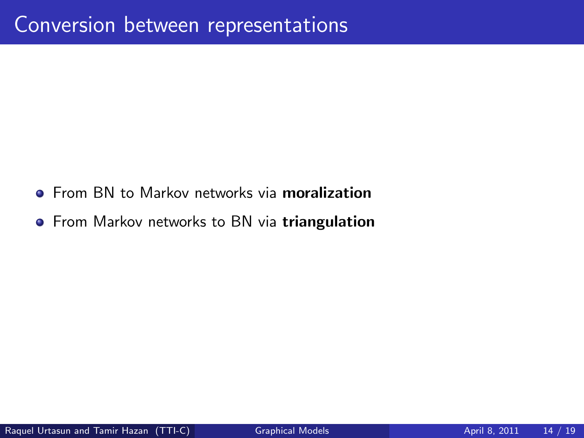- **•** From BN to Markov networks via **moralization**
- **•** From Markov networks to BN via triangulation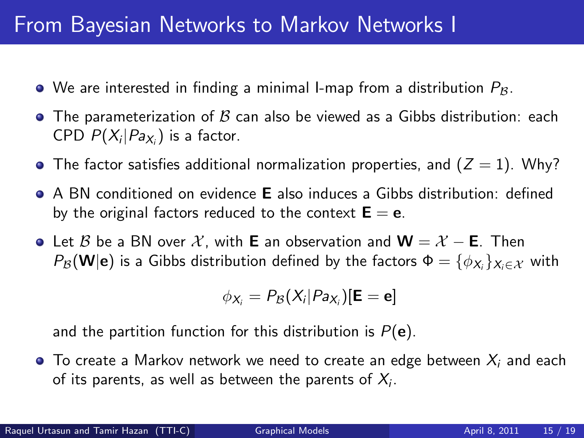### From Bayesian Networks to Markov Networks I

- $\bullet$  We are interested in finding a minimal I-map from a distribution  $P_{\mathcal{B}}$ .
- The parameterization of  $\beta$  can also be viewed as a Gibbs distribution: each CPD  $P(X_i|Pa_{X_i})$  is a factor.
- The factor satisfies additional normalization properties, and  $(Z = 1)$ . Why?
- A BN conditioned on evidence E also induces a Gibbs distribution: defined by the original factors reduced to the context  $E = e$ .
- $\bullet$  Let B be a BN over X, with E an observation and  $\mathbf{W} = \mathcal{X} \mathbf{E}$ . Then  $P_{\cal B}({\bf W} | {\bf e})$  is a Gibbs distribution defined by the factors  $\mathsf{\Phi} = \{\phi_{\textsf{X}_i}\}_{\textsf{X}_i \in \mathcal{X}}$  with

$$
\phi_{X_i} = P_{\mathcal{B}}(X_i|Pa_{X_i})[\mathbf{E} = \mathbf{e}]
$$

and the partition function for this distribution is  $P(e)$ .

 $\bullet$  To create a Markov network we need to create an edge between  $X_i$  and each of its parents, as well as between the parents of  $X_i.$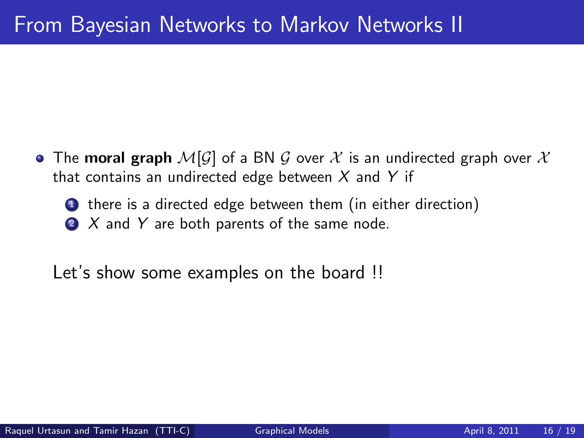- The moral graph  $\mathcal{M}[\mathcal{G}]$  of a BN  $\mathcal G$  over  $\mathcal X$  is an undirected graph over  $\mathcal X$ that contains an undirected edge between  $X$  and  $Y$  if
	- **1** there is a directed edge between them (in either direction)  $2$  X and Y are both parents of the same node.

Let's show some examples on the board !!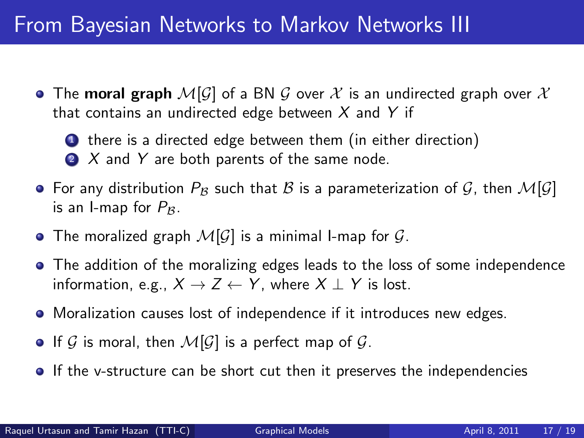# From Bayesian Networks to Markov Networks III

- The moral graph  $\mathcal{M}[\mathcal{G}]$  of a BN  $\mathcal G$  over  $\mathcal X$  is an undirected graph over  $\mathcal X$ that contains an undirected edge between  $X$  and  $Y$  if
	- **1** there is a directed edge between them (in either direction)
	- $2 \times$  and Y are both parents of the same node.
- For any distribution  $P_B$  such that B is a parameterization of G, then  $\mathcal{M}[G]$ is an I-map for  $P_B$ .
- The moralized graph  $\mathcal{M}[\mathcal{G}]$  is a minimal I-map for  $\mathcal{G}$ .
- The addition of the moralizing edges leads to the loss of some independence information, e.g.,  $X \rightarrow Z \leftarrow Y$ , where  $X \perp Y$  is lost.
- Moralization causes lost of independence if it introduces new edges.
- If G is moral, then  $\mathcal{M}[\mathcal{G}]$  is a perfect map of  $\mathcal{G}$ .
- **If the v-structure can be short cut then it preserves the independencies**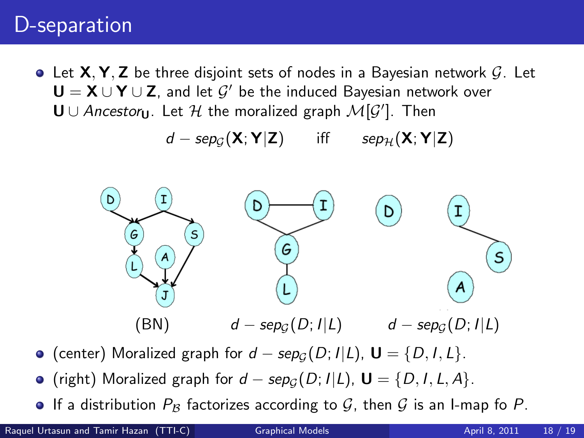#### D-separation

 $\bullet$  Let **X, Y, Z** be three disjoint sets of nodes in a Bayesian network G. Let  $\mathsf{U}=\mathsf{X}\cup\mathsf{Y}\cup\mathsf{Z}$ , and let  $\mathcal{G}'$  be the induced Bayesian network over  $$ 

$$
d - \text{sep}_{\mathcal{G}}(\mathbf{X}; \mathbf{Y} | \mathbf{Z}) \quad \text{iff} \quad \text{sep}_{\mathcal{H}}(\mathbf{X}; \mathbf{Y} | \mathbf{Z})
$$



- $\bullet$  (center) Moralized graph for  $d$  sep<sub>G</sub>(D; I|L), **U** = {D, I, L}.
- $\bullet$  (right) Moralized graph for  $d$  sep<sub>G</sub>(D; I|L), **U** = {D, I, L, A}.
- **•** If a distribution  $P_B$  factorizes according to G, then G is an I-map fo P.